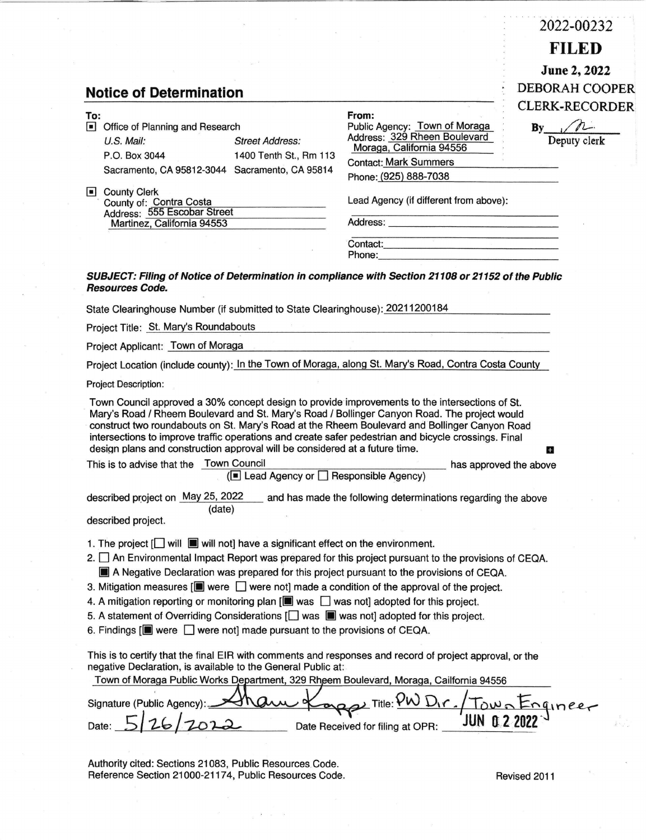|                                                                                                                                                                                                                                                                                                                                                                                                                                                                                        |                                                                                                                                        | 2022-00232            |  |  |  |
|----------------------------------------------------------------------------------------------------------------------------------------------------------------------------------------------------------------------------------------------------------------------------------------------------------------------------------------------------------------------------------------------------------------------------------------------------------------------------------------|----------------------------------------------------------------------------------------------------------------------------------------|-----------------------|--|--|--|
|                                                                                                                                                                                                                                                                                                                                                                                                                                                                                        |                                                                                                                                        | <b>FILED</b>          |  |  |  |
|                                                                                                                                                                                                                                                                                                                                                                                                                                                                                        |                                                                                                                                        | June 2, 2022          |  |  |  |
| <b>Notice of Determination</b>                                                                                                                                                                                                                                                                                                                                                                                                                                                         |                                                                                                                                        | <b>DEBORAH COOPER</b> |  |  |  |
|                                                                                                                                                                                                                                                                                                                                                                                                                                                                                        |                                                                                                                                        | <b>CLERK-RECORDER</b> |  |  |  |
| To:<br>Office of Planning and Research                                                                                                                                                                                                                                                                                                                                                                                                                                                 | From:<br>Public Agency: Town of Moraga                                                                                                 | $By$ $\Lambda$        |  |  |  |
| U.S. Mail:<br><b>Street Address:</b>                                                                                                                                                                                                                                                                                                                                                                                                                                                   | Address: 329 Rheen Boulevard                                                                                                           | Deputy clerk          |  |  |  |
| P.O. Box 3044<br>1400 Tenth St., Rm 113                                                                                                                                                                                                                                                                                                                                                                                                                                                | Moraga, California 94556<br><b>Contact: Mark Summers</b>                                                                               |                       |  |  |  |
| Sacramento, CA 95812-3044 Sacramento, CA 95814                                                                                                                                                                                                                                                                                                                                                                                                                                         | Phone: (925) 888-7038                                                                                                                  |                       |  |  |  |
| County Clerk                                                                                                                                                                                                                                                                                                                                                                                                                                                                           |                                                                                                                                        |                       |  |  |  |
| County of: Contra Costa<br>Address: 555 Escobar Street                                                                                                                                                                                                                                                                                                                                                                                                                                 | Lead Agency (if different from above):                                                                                                 |                       |  |  |  |
| Martinez, California 94553                                                                                                                                                                                                                                                                                                                                                                                                                                                             |                                                                                                                                        |                       |  |  |  |
|                                                                                                                                                                                                                                                                                                                                                                                                                                                                                        | <u> 1980 - Johann John Harry Harry Harry Harry Harry Harry Harry Harry Harry Harry Harry Harry Harry Harry Harry</u>                   |                       |  |  |  |
|                                                                                                                                                                                                                                                                                                                                                                                                                                                                                        |                                                                                                                                        |                       |  |  |  |
| SUBJECT: Filing of Notice of Determination in compliance with Section 21108 or 21152 of the Public                                                                                                                                                                                                                                                                                                                                                                                     |                                                                                                                                        |                       |  |  |  |
| <b>Resources Code.</b>                                                                                                                                                                                                                                                                                                                                                                                                                                                                 |                                                                                                                                        |                       |  |  |  |
| State Clearinghouse Number (if submitted to State Clearinghouse): 20211200184                                                                                                                                                                                                                                                                                                                                                                                                          |                                                                                                                                        |                       |  |  |  |
| Project Title: St. Mary's Roundabouts                                                                                                                                                                                                                                                                                                                                                                                                                                                  | a a shekara ta 1972.<br>Ta wasan ƙwallon ƙafa ta ƙasar ƙasar ƙasar ƙasar ƙasar ƙasar ƙasar ƙasar ƙasar ƙasar ƙasar ƙasar ƙasar ƙasar ƙ |                       |  |  |  |
| Project Applicant: Town of Moraga                                                                                                                                                                                                                                                                                                                                                                                                                                                      |                                                                                                                                        |                       |  |  |  |
|                                                                                                                                                                                                                                                                                                                                                                                                                                                                                        |                                                                                                                                        |                       |  |  |  |
| Project Location (include county): In the Town of Moraga, along St. Mary's Road, Contra Costa County                                                                                                                                                                                                                                                                                                                                                                                   |                                                                                                                                        |                       |  |  |  |
| <b>Project Description:</b>                                                                                                                                                                                                                                                                                                                                                                                                                                                            |                                                                                                                                        |                       |  |  |  |
| Town Council approved a 30% concept design to provide improvements to the intersections of St.<br>Mary's Road / Rheem Boulevard and St. Mary's Road / Bollinger Canyon Road. The project would<br>construct two roundabouts on St. Mary's Road at the Rheem Boulevard and Bollinger Canyon Road<br>intersections to improve traffic operations and create safer pedestrian and bicycle crossings. Final<br>design plans and construction approval will be considered at a future time. |                                                                                                                                        | $\pm$                 |  |  |  |
| This is to advise that the Town Council                                                                                                                                                                                                                                                                                                                                                                                                                                                | has approved the above                                                                                                                 |                       |  |  |  |
| (■ Lead Agency or □ Responsible Agency)                                                                                                                                                                                                                                                                                                                                                                                                                                                |                                                                                                                                        |                       |  |  |  |
| described project on May 25, 2022<br>(date)                                                                                                                                                                                                                                                                                                                                                                                                                                            | and has made the following determinations regarding the above                                                                          |                       |  |  |  |
| described project.                                                                                                                                                                                                                                                                                                                                                                                                                                                                     |                                                                                                                                        |                       |  |  |  |
| 1. The project $\Box$ will $\Box$ will not] have a significant effect on the environment.                                                                                                                                                                                                                                                                                                                                                                                              |                                                                                                                                        |                       |  |  |  |
| 2. An Environmental Impact Report was prepared for this project pursuant to the provisions of CEQA.                                                                                                                                                                                                                                                                                                                                                                                    |                                                                                                                                        |                       |  |  |  |
| A Negative Declaration was prepared for this project pursuant to the provisions of CEQA.                                                                                                                                                                                                                                                                                                                                                                                               |                                                                                                                                        |                       |  |  |  |
| 3. Mitigation measures $[\blacksquare]$ were $\blacksquare$ were not] made a condition of the approval of the project.                                                                                                                                                                                                                                                                                                                                                                 |                                                                                                                                        |                       |  |  |  |
| 4. A mitigation reporting or monitoring plan $[\blacksquare$ was $\Box$ was not] adopted for this project.                                                                                                                                                                                                                                                                                                                                                                             |                                                                                                                                        |                       |  |  |  |
| 5. A statement of Overriding Considerations [ ] was [ ] was not] adopted for this project.                                                                                                                                                                                                                                                                                                                                                                                             |                                                                                                                                        |                       |  |  |  |
| 6. Findings $[\blacksquare]$ were $\Box$ were not] made pursuant to the provisions of CEQA.                                                                                                                                                                                                                                                                                                                                                                                            |                                                                                                                                        |                       |  |  |  |
| This is to certify that the final EIR with comments and responses and record of project approval, or the<br>negative Declaration, is available to the General Public at:<br>Town of Moraga Public Works Department, 329 Rheem Boulevard, Moraga, Cailfornia 94556                                                                                                                                                                                                                      |                                                                                                                                        |                       |  |  |  |
|                                                                                                                                                                                                                                                                                                                                                                                                                                                                                        |                                                                                                                                        |                       |  |  |  |
| Signature (Public Agency)                                                                                                                                                                                                                                                                                                                                                                                                                                                              | $\sum$ Title: $\mathcal{V}$ W                                                                                                          |                       |  |  |  |
|                                                                                                                                                                                                                                                                                                                                                                                                                                                                                        | JUN 0.<br>Date Received for filing at OPR:                                                                                             |                       |  |  |  |
|                                                                                                                                                                                                                                                                                                                                                                                                                                                                                        |                                                                                                                                        |                       |  |  |  |
| Authority cited: Sections 21083, Public Resources Code.                                                                                                                                                                                                                                                                                                                                                                                                                                |                                                                                                                                        |                       |  |  |  |
| Reference Section 21000-21174, Public Resources Code.                                                                                                                                                                                                                                                                                                                                                                                                                                  |                                                                                                                                        | Revised 2011          |  |  |  |

 $\label{eq:2.1} \begin{array}{ccccc} \sigma & & & & \end{array} \hspace{0.2cm} \begin{array}{ccccc} \sigma & & & \end{array} \hspace{0.2cm} \begin{array}{ccccc} \sigma & & & \end{array} \hspace{0.2cm} \begin{array}{ccccc} \sigma & & & \end{array} \hspace{0.2cm} \begin{array}{ccccc} \sigma & & \tau & & \end{array}$ 

 $\bar{\alpha}$